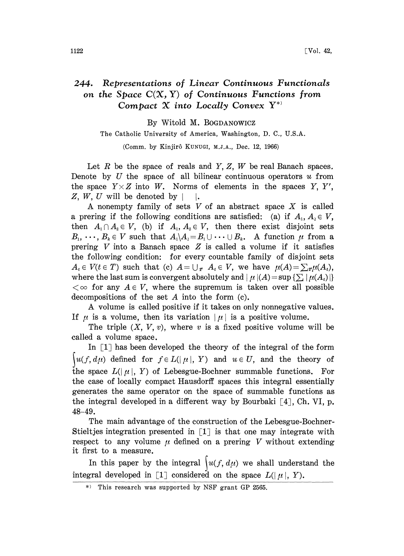## 244. Representations of Linear Continuous Functionals on the Space  $C(X, Y)$  of Continuous Functions from Compact  $X$  into Locally Convex  $Y^*$

By Witold M. BOGDANOWICZ

The Catholic University of America, Washington, D. C., U.S.A.

(Comm. by Kinjirô KUNUGI, M.J.A., Dec. 12, 1966)

Let  $R$  be the space of reals and  $Y$ ,  $Z$ ,  $W$  be real Banach spaces. Denote by  $U$  the space of all bilinear continuous operators  $u$  from the space  $Y \times Z$  into W. Norms of elements in the spaces Y, Y', Z, W, U will be denoted by  $|\cdot|$ .

A nonempty family of sets  $V$  of an abstract space  $X$  is called a prering if the following conditions are satisfied: (a) if  $A_1, A_2 \in V$ , then  $A_1 \cap A_2 \in V$ , (b) if  $A_1, A_2 \in V$ , then there exist disjoint sets  $B_1, \dots, B_k \in V$  such that  $A_1 \setminus A_2 = B_1 \cup \dots \cup B_k$ . A function  $\mu$  from a prering  $V$  into a Banach space  $Z$  is called a volume if it satisfies the following condition: for every countable family of disjoint sets  $A_t \in V(t \in T)$  such that (c)  $A = \bigcup_{\mathbf{r}} A_t \in V$ , we have  $\mu(A) = \sum_{\mathbf{r}} \mu(A_t)$ , where the last sum is convergent absolutely and  $\mu$   $|(A) = \sup \{\sum |\mu(A_t)|\}$  $\langle \infty \rangle$  for any  $A \in V$ , where the supremum is taken over all possible decompositions of the set  $A$  into the form  $(c)$ .

A volume is called positive if it takes on only nonnegative values. If  $\mu$  is a volume, then its variation  $|\mu|$  is a positive volume.

The triple  $(X, V, v)$ , where v is a fixed positive volume will be called a volume space.

In  $\left[1\right]$  has been developed the theory of the integral of the form  $\big\{u(f, d\mu)$  defined for  $f \in L(|\mu|, Y)$  and  $u \in U$ , and the theory of the space  $L(|\mu|, Y)$  of Lebesgue-Bochner summable functions. For the case of locally compact Hausdorff spaces this integral essentially generates the same operator on the space of summable functions as the integral developed in a different way by Bourbaki  $\lceil 4 \rceil$ , Ch. VI, p. 48-49.

The main advantage of the construction of the Lebesgue-Bochner-Stieltjes integration presented in  $\lceil 1 \rceil$  is that one may integrate with respect to any volume  $\mu$  defined on a prering V without extending it first to a measure.

In this paper by the integral  $\int u(f, d\mu)$  we shall understand the integral developed in [1] considered on the space  $L(|\mu|, Y)$ .

<sup>\*)</sup> This research was supported by NSF grant GP 2565.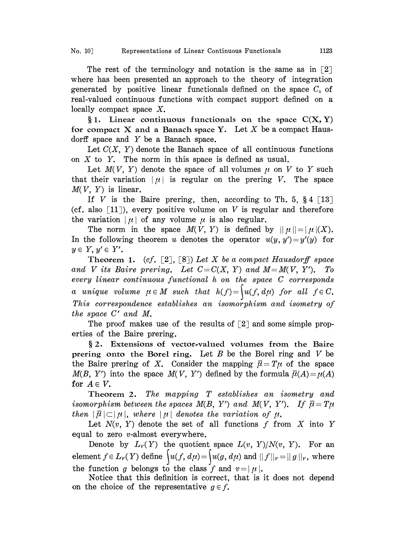The rest of the terminology and notation is the same as in  $\lceil 2 \rceil$ where has been presented an approach to the theory of integration generated by positive linear functionals defined on the space  $C_0$  of real-valued continuous functions with compact support defined on a locally compact space X.

§1. Linear continuous functionals on the space  $C(X, Y)$ for compact X and a Banach space Y. Let X be a compact Hausdorff space and  $Y$  be a Banach space.

Let  $C(X, Y)$  denote the Banach space of all continuous functions on  $X$  to  $Y$ . The norm in this space is defined as usual.

Let  $M(V, Y)$  denote the space of all volumes  $\mu$  on V to Y such that their variation  $|\mu|$  is regular on the prering V. The space  $M(V, Y)$  is linear.

If V is the Baire prering, then, according to Th. 5,  $\S 4$  [13] (cf. also  $\lceil 11 \rceil$ ), every positive volume on V is regular and therefore the variation  $|\mu|$  of any volume  $\mu$  is also regular.

The norm in the space  $M(V, Y)$  is defined by  $||\mu||=|\mu|(X)$ . In the following theorem u denotes the operator  $u(y, y')=y'(y)$  for  $y \in Y, y' \in Y'$ .

Theorem 1. (cf. [2], [8]) Let X be a compact Hausdorff space and V its Baire prering. Let  $C=C(X, Y)$  and  $M=M(V, Y')$ . To every linear continuous functional h on the space C corresponds a unique volume  $\mu \in M$  such that  $h(f) = \int u(f, d\mu)$  for all  $f \in C$ . This correspondence establishes an isomorphism and isometry of the space C' and M.

The proof makes use of the results of  $\lceil 2 \rceil$  and some simple properties of the Baire prering.

§2. Extensions of vector-valued volumes from the Baire prering onto the Borel ring. Let  $B$  be the Borel ring and  $V$  be the Baire prering of X. Consider the mapping  $\vec{\mu} = T\mu$  of the space  $M(B, Y')$  into the space  $M(V, Y')$  defined by the formula  $\overline{\mu}(A) = \mu(A)$ for  $A \in V$ .

Theorem 2. The mapping T establishes an isometry and isomorphism between the spaces  $M(B, Y')$  and  $M(V, Y')$ . If  $\bar{\mu} = T\mu$ then  $|\bar{\mu}| \subset |\mu|$ , where  $|\mu|$  denotes the variation of  $\mu$ .

Let  $N(v, Y)$  denote the set of all functions  $f$  from  $X$  into  $Y$ equal to zero v-almost everywhere.

Denote by  $L<sub>v</sub>(Y)$  the quotient space  $L(v, Y)/N(v, Y)$ . For an element  $f \in L_{\nu}(Y)$  define  $\int u(f, d\mu) = \int u(g, d\mu)$  and  $||f||_{\nu} = ||g||_{\nu}$ , where the function g belongs to the class f and  $v=|\mu|$ .

Notice that this definition is correct, that is it does not depend on the choice of the representative  $g \in f$ .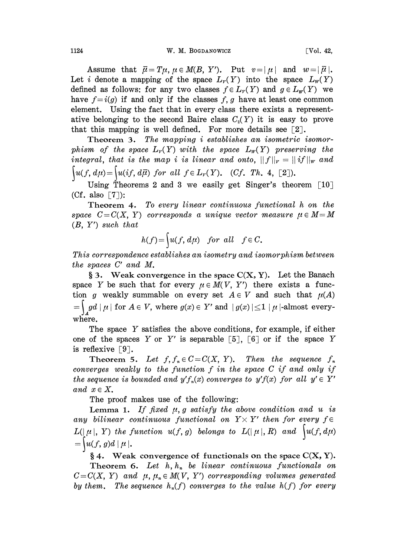1124 W.M. BOGDANOWICZ [Vol. 42,

Assume that  $\bar{\mu} = T\mu$ ,  $\mu \in M(B, Y')$ . Put  $v = |\mu|$  and  $w = |\bar{\mu}|$ . Let i denote a mapping of the space  $L_v(Y)$  into the space  $L_w(Y)$ defined as follows: for any two classes  $f \in L_r(Y)$  and  $g \in L_p(Y)$  we have  $f=i(g)$  if and only if the classes f, g have at least one common element. Using the fact that in every class there exists a representative belonging to the second Baire class  $C_2(Y)$  it is easy to prove that this mapping is well defined. For more details see  $\lceil 2 \rceil$ .

Theorem 3. The mapping i establishes an isometric isomorphism of the space  $L_r(Y)$  with the space  $L_r(Y)$  preserving the integral, that is the map i is linear and onto,  $||f||_r = ||if||_w$  and  $\mathcal{U}(f, d\mu) = \{u(i f, d\overline{\mu}) \text{ for all } f \in L_{\nu}(Y). \text{ }(Cf. Th. 4,$ 

Using Theorems 2 and 3 we easily get Singer's theorem  $[10]$  $(Cf. also [7]):$ 

Theorem 4. To every linear continuous functional h on the space  $C=C(X, Y)$  corresponds a unique vector measure  $\mu \in M=M$  $(B, Y')$  such that

$$
h(f) = \begin{cases} u(f, d\mu) & \text{for all} \quad f \in C. \end{cases}
$$

This correspondence establishes an isometry and isomorphism between the spaces C' and M.

§ 3. Weak convergence in the space  $C(X, Y)$ . Let the Banach space Y be such that for every  $\mu \in M(V, Y')$  there exists a function g weakly summable on every set  $A \in V$  and such that  $\mu(A)$  $\mathop{gd}\nolimits |\mu|$  for  $A\in V$ , where  $g(x)\in Y'$  and  $\mid g(x)\mid\leq 1\mid \mu$  |-almost everywhere.

The space Y satisfies the above conditions, for example, if either one of the spaces Y or Y' is separable [5], [6] or if the space Y is reflexive  $\lceil 9 \rceil$ .

Theorem 5. Let  $f, f_n \in C = C(X, Y)$ . Then the sequence  $f_n$ converges weakly to the function  $f$  in the space  $C$  if and only if the sequence is bounded and  $y'f_n(x)$  converges to  $y'f(x)$  for all  $y' \in Y'$ and  $x \in X$ .

The proof makes use of the following:

Lemma 1. If fixed  $\mu$ , g satisfy the above condition and u is any bilinear continuous functional on  $Y \times Y'$  then for every  $f \in$  $L(\lfloor \mu \rfloor, Y)$  the function  $u(f, g)$  belongs to  $L(\lfloor \mu \rfloor, R)$  and  $\big\lfloor u(f, d\mu) \big\rfloor$  $=\left\{u(f, g)d\,|\mu\right\}.$ 

§ 4. Weak convergence of functionals on the space  $C(X, Y)$ .

Theorem 6. Let  $h, h_n$  be linear continuous functionals on  $C=C(X, Y)$  and  $\mu, \mu_* \in M(V, Y')$  corresponding volumes generated by them. The sequence  $h_n(f)$  converges to the value  $h(f)$  for every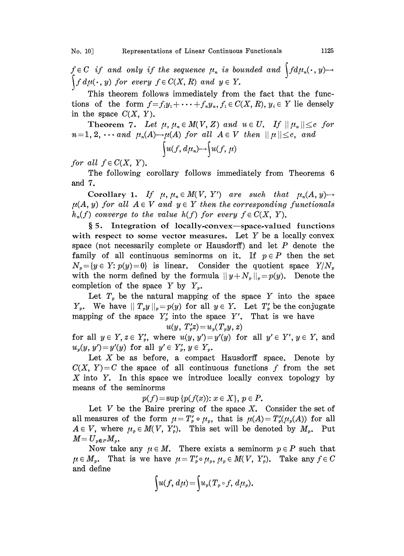$f \in C$  if and only if the sequence  $\mu_n$  is bounded and  $\int f d\mu_n(\cdot, y) \rightarrow$  $d\mu(\,\cdot\,,\,y)$  for every  $f\in C(X,\,R)$  and  $y\in\,Y$ .

This theorem follows immediately from the fact that the functions of the form  $f=f_1y_1+\cdots+f_ny_n$ ,  $f_i\in C(X, R)$ ,  $y_i\in Y$  lie densely in the space  $C(X, Y)$ .

**Theorem 7.** Let  $\mu, \mu \in M(V, Z)$  and  $u \in U$ . If  $\|\mu_n\| \leq c$  for  $n=1, 2, \cdots$  and  $\mu_n(A) \rightarrow \mu(A)$  for all  $A \in V$  then  $|| \mu || \leq c$ , and

$$
\int u(f, d\mu_n) \rightarrow \int u(f, \mu)
$$

for all  $f \in C(X, Y)$ .

The following corollary follows immediately from Theorems 6 and 7.

Corollary 1. If  $\mu, \mu_* \in M(V, Y')$  are such that  $\mu_*(A, y) \rightarrow$  $\mu(A, y)$  for all  $A \in V$  and  $y \in Y$  then the corresponding functionals  $h_n(f)$  converge to the value  $h(f)$  for every  $f \in C(X, Y)$ .

 $§ 5.$  Integration of locally-convex—space-valued functions with respect to some vector measures. Let  $Y$  be a locally convex space (not necessarily complete or Hausdorff) and let  $P$  denote the family of all continuous seminorms on it. If  $p \in P$  then the set  $N_p={y \in Y: p(y)=0}$  is linear. Consider the quotient space  $Y/N_p$ with the norm defined by the formula  $||y+N_p||_p=p(y)$ . Denote the completion of the space Y by  $Y_{\nu}$ .

Let  $T_p$  be the natural mapping of the space Y into the space  $Y_{p}$ . We have  $||T_{p}y||_{p}=p(y)$  for all  $y \in Y$ . Let  $T'_{p}$  be the conjugate mapping of the space  $Y'_{p}$  into the space Y'. That is we have

$$
u(y, T'_p z) = u_p(T_p y, z)
$$

for all  $y \in Y$ ,  $z \in Y'_p$ , where  $u(y, y') = y'(y)$  for all  $y' \in Y'$ ,  $y \in Y$ , and  $u_{\nu}(y, y')=y'(y)$  for all  $y' \in Y_{\nu}$ ,  $y \in Y_{\nu}$ .

Let  $X$  be as before, a compact Hausdorff space. Denote by  $C(X, Y) = C$  the space of all continuous functions f from the set X into Y. In this space we introduce locally convex topology by means of the seminorms

 $p(f) = \sup \{p(f(x)) : x \in X\}, p \in P.$ 

Let V be the Baire prering of the space  $X$ . Consider the set of all measures of the form  $\mu = T'_p \circ \mu_p$ , that is  $\mu(A) = T'_p(\mu_p(A))$  for all  $A \in V$ , where  $\mu_p \in M(V, Y_p')$ . This set will be denoted by  $M_p$ . Put  $M\!=U_{_p{\bf \in }P}M_{_p}$ .

Now take any  $\mu \in M$ . There exists a seminorm  $p \in P$  such that  $\mu \in M_p$ . That is we have  $\mu = T_p' \circ \mu_p$ ,  $\mu_p \in M(V, Y_p')$ . Take any  $f \in C$ and define

$$
\int u(f, d\mu) = \int u_p(T_p \circ f, d\mu_p).
$$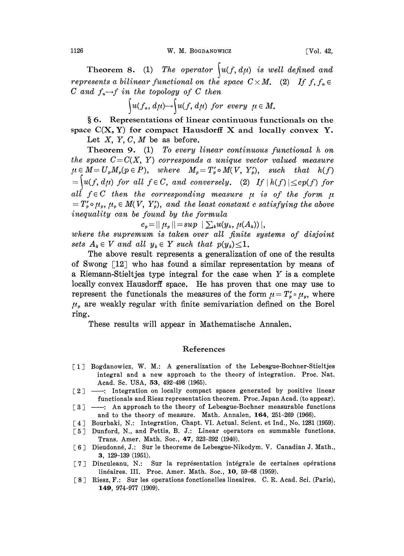1126 W.M. BOGDANOWICZ [Vol. 42,

Theorem 8. (1) The operator  $\int u(f, d\mu)$  is well defined and represents a bilinear functional on the space  $C \times M$ . (2) If  $f, f_* \in$ C and  $f_n \rightarrow f$  in the topology of C then

$$
\int u(f_n, d\mu) \to \int u(f, d\mu) \ \text{for every} \ \mu \in M.
$$

6. Representations of linear continuous functionals on the space  $C(X, Y)$  for compact Hausdorff X and locally convex Y. Let  $X, Y, C, M$  be as before.

Theorem 9. (1) To every linear continuous functional h on the space  $C=C(X, Y)$  corresponds a unique vector valued measure  $\mu \in M = U_p M_p(p \in P)$ , where  $M_p = T'_p \circ M(V, Y'_p)$ , such that  $h(f)$  $t = \left\{u(f, d\mu)$  for all  $f \in C$ , and conversely. (2) If  $|h(f)| \leq c p(f)$  for all  $f \in C$  then the corresponding measure  $\mu$  is of the form  $\mu$  $=T_p' \circ \mu_p, \mu_p \in M(V, Y_p'),$  and the least constant c satisfying the above inequality can be found by the formula

 $c_p = || \mu_p || = sup \; | \sum_k u(y_k, \mu(A_k)) |,$ 

where the supremum is taken over all finite systems of disjoint sets  $A_k \in V$  and all  $y_k \in Y$  such that  $p(y_k) \leq 1$ .

The above result represents a generalization of one of the results of Swong  $[12]$  who has found a similar representation by means of <sup>a</sup> Riemann-Stieltjes type integral for the case when Y is <sup>a</sup> complete locally convex Hausdorff space. He has proven that one may use to represent the functionals the measures of the form  $\mu = T'_p \circ \mu_p$ , where  $\mu<sub>p</sub>$  are weakly regular with finite semivariation defined on the Borel ring.

These results will appear in Mathematische Annalen.

## References

- [1] Bogdanowicz, W. M.: A generalization of the Lebesgue-Bochner-Stieltjes integral and a new approach to the theory of integration. Proc. Nat. Acad. Sc. USA, 53, 492-498 (1965).
- $\lceil 2 \rceil$  --: Integration on locally compact spaces generated by positive linear functionals and Riesz representation theorem. Proc. Japan Acad. (to appear).
- [3] --: An approach to the theory of Lebesgue-Bochner measurable functions and to the theory of measure. Math. Annalen, 164, 251-269 (1966).
- [4] Bourbaki, N.: Integration, Chapt. VI. Actual. Scient. et Ind., No. 1281 (1959).
- [5] Dunford, N., and Pettis, B. J.: Linear operators on summable functions. Trans. Amer. Math. Soc., 47, 323-392 (1940).
- [6] Dieudonné, J.: Sur le theoreme de Lebesgue-Nikodym. V. Canadian J. Math., 3, 129-139 (1951).
- [7] Dinculeanu, N.: Sur la représentation intégrale de certaines opérations linéaires. III. Proc. Amer. Math. Soc., 10, 59-68 (1959).
- [8] Riesz, F.: Sur les operations fonctionelles lineaires. C.R. Acad. Sci. (Paris), 149, 974-977 (1909).